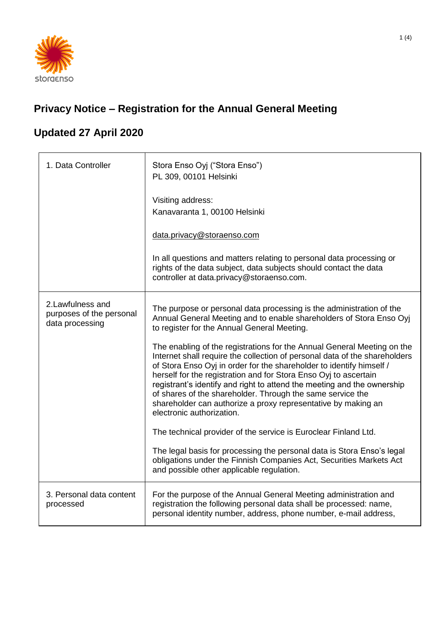

## **Privacy Notice – Registration for the Annual General Meeting**

## **Updated 27 April 2020**

| 1. Data Controller                                               | Stora Enso Oyj ("Stora Enso")<br>PL 309, 00101 Helsinki<br>Visiting address:<br>Kanavaranta 1, 00100 Helsinki                                                                                                                                                                                                                                                                                                                                                                                                                                                                                                                                                                                                                                                                                                                                                                                                                                                                                           |
|------------------------------------------------------------------|---------------------------------------------------------------------------------------------------------------------------------------------------------------------------------------------------------------------------------------------------------------------------------------------------------------------------------------------------------------------------------------------------------------------------------------------------------------------------------------------------------------------------------------------------------------------------------------------------------------------------------------------------------------------------------------------------------------------------------------------------------------------------------------------------------------------------------------------------------------------------------------------------------------------------------------------------------------------------------------------------------|
|                                                                  | data.privacy@storaenso.com<br>In all questions and matters relating to personal data processing or<br>rights of the data subject, data subjects should contact the data<br>controller at data.privacy@storaenso.com.                                                                                                                                                                                                                                                                                                                                                                                                                                                                                                                                                                                                                                                                                                                                                                                    |
| 2. Lawfulness and<br>purposes of the personal<br>data processing | The purpose or personal data processing is the administration of the<br>Annual General Meeting and to enable shareholders of Stora Enso Oyj<br>to register for the Annual General Meeting.<br>The enabling of the registrations for the Annual General Meeting on the<br>Internet shall require the collection of personal data of the shareholders<br>of Stora Enso Oyj in order for the shareholder to identify himself /<br>herself for the registration and for Stora Enso Oyj to ascertain<br>registrant's identify and right to attend the meeting and the ownership<br>of shares of the shareholder. Through the same service the<br>shareholder can authorize a proxy representative by making an<br>electronic authorization.<br>The technical provider of the service is Euroclear Finland Ltd.<br>The legal basis for processing the personal data is Stora Enso's legal<br>obligations under the Finnish Companies Act, Securities Markets Act<br>and possible other applicable regulation. |
| 3. Personal data content<br>processed                            | For the purpose of the Annual General Meeting administration and<br>registration the following personal data shall be processed: name,<br>personal identity number, address, phone number, e-mail address,                                                                                                                                                                                                                                                                                                                                                                                                                                                                                                                                                                                                                                                                                                                                                                                              |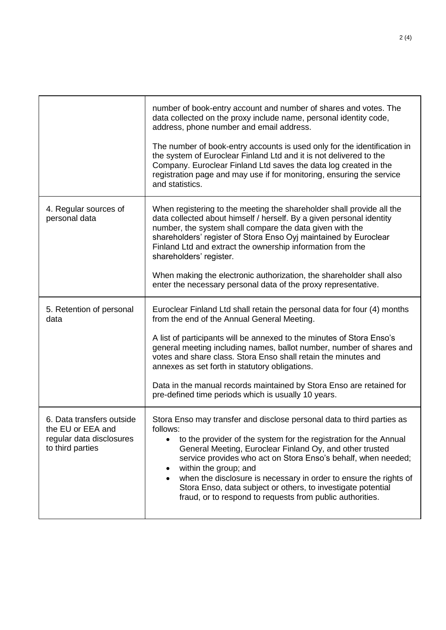|                                                                                                | number of book-entry account and number of shares and votes. The<br>data collected on the proxy include name, personal identity code,<br>address, phone number and email address.<br>The number of book-entry accounts is used only for the identification in<br>the system of Euroclear Finland Ltd and it is not delivered to the<br>Company. Euroclear Finland Ltd saves the data log created in the<br>registration page and may use if for monitoring, ensuring the service<br>and statistics.                         |
|------------------------------------------------------------------------------------------------|-----------------------------------------------------------------------------------------------------------------------------------------------------------------------------------------------------------------------------------------------------------------------------------------------------------------------------------------------------------------------------------------------------------------------------------------------------------------------------------------------------------------------------|
| 4. Regular sources of<br>personal data                                                         | When registering to the meeting the shareholder shall provide all the<br>data collected about himself / herself. By a given personal identity<br>number, the system shall compare the data given with the<br>shareholders' register of Stora Enso Oyj maintained by Euroclear<br>Finland Ltd and extract the ownership information from the<br>shareholders' register.<br>When making the electronic authorization, the shareholder shall also<br>enter the necessary personal data of the proxy representative.            |
| 5. Retention of personal<br>data                                                               | Euroclear Finland Ltd shall retain the personal data for four (4) months<br>from the end of the Annual General Meeting.<br>A list of participants will be annexed to the minutes of Stora Enso's<br>general meeting including names, ballot number, number of shares and<br>votes and share class. Stora Enso shall retain the minutes and<br>annexes as set forth in statutory obligations.<br>Data in the manual records maintained by Stora Enso are retained for<br>pre-defined time periods which is usually 10 years. |
| 6. Data transfers outside<br>the EU or EEA and<br>regular data disclosures<br>to third parties | Stora Enso may transfer and disclose personal data to third parties as<br>follows:<br>to the provider of the system for the registration for the Annual<br>General Meeting, Euroclear Finland Oy, and other trusted<br>service provides who act on Stora Enso's behalf, when needed;<br>within the group; and<br>when the disclosure is necessary in order to ensure the rights of<br>Stora Enso, data subject or others, to investigate potential<br>fraud, or to respond to requests from public authorities.             |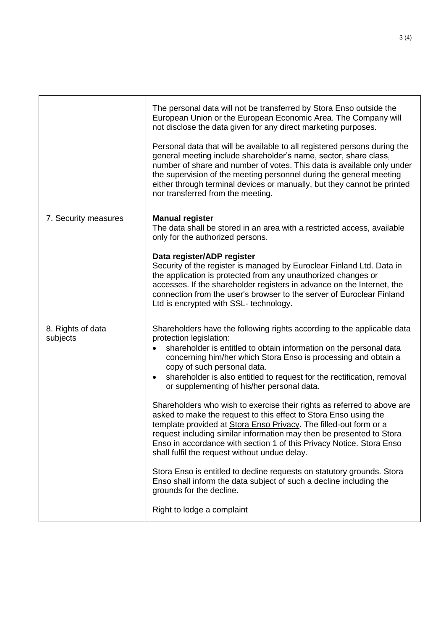|                               | The personal data will not be transferred by Stora Enso outside the<br>European Union or the European Economic Area. The Company will<br>not disclose the data given for any direct marketing purposes.<br>Personal data that will be available to all registered persons during the<br>general meeting include shareholder's name, sector, share class,<br>number of share and number of votes. This data is available only under<br>the supervision of the meeting personnel during the general meeting<br>either through terminal devices or manually, but they cannot be printed<br>nor transferred from the meeting.                                                                                                                                                                                                                                                                                                                                                                                                                     |
|-------------------------------|-----------------------------------------------------------------------------------------------------------------------------------------------------------------------------------------------------------------------------------------------------------------------------------------------------------------------------------------------------------------------------------------------------------------------------------------------------------------------------------------------------------------------------------------------------------------------------------------------------------------------------------------------------------------------------------------------------------------------------------------------------------------------------------------------------------------------------------------------------------------------------------------------------------------------------------------------------------------------------------------------------------------------------------------------|
| 7. Security measures          | <b>Manual register</b><br>The data shall be stored in an area with a restricted access, available<br>only for the authorized persons.<br>Data register/ADP register<br>Security of the register is managed by Euroclear Finland Ltd. Data in<br>the application is protected from any unauthorized changes or<br>accesses. If the shareholder registers in advance on the Internet, the<br>connection from the user's browser to the server of Euroclear Finland<br>Ltd is encrypted with SSL- technology.                                                                                                                                                                                                                                                                                                                                                                                                                                                                                                                                    |
| 8. Rights of data<br>subjects | Shareholders have the following rights according to the applicable data<br>protection legislation:<br>shareholder is entitled to obtain information on the personal data<br>concerning him/her which Stora Enso is processing and obtain a<br>copy of such personal data.<br>shareholder is also entitled to request for the rectification, removal<br>$\bullet$<br>or supplementing of his/her personal data.<br>Shareholders who wish to exercise their rights as referred to above are<br>asked to make the request to this effect to Stora Enso using the<br>template provided at Stora Enso Privacy. The filled-out form or a<br>request including similar information may then be presented to Stora<br>Enso in accordance with section 1 of this Privacy Notice. Stora Enso<br>shall fulfil the request without undue delay.<br>Stora Enso is entitled to decline requests on statutory grounds. Stora<br>Enso shall inform the data subject of such a decline including the<br>grounds for the decline.<br>Right to lodge a complaint |